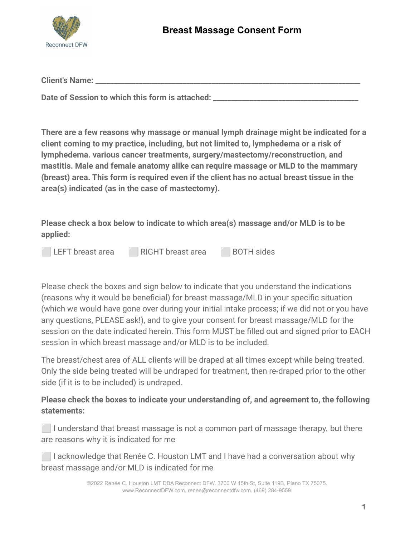

| <b>Client's Name:</b> |  |
|-----------------------|--|
|                       |  |

Date of Session to which this form is attached: \_\_\_\_\_

**There are a few reasons why massage or manual lymph drainage might be indicated for a client coming to my practice, including, but not limited to, lymphedema or a risk of lymphedema. various cancer treatments, surgery/mastectomy/reconstruction, and mastitis. Male and female anatomy alike can require massage or MLD to the mammary (breast) area. This form is required even if the client has no actual breast tissue in the area(s) indicated (as in the case of mastectomy).**

**Please check a box below to indicate to which area(s) massage and/or MLD is to be applied:**



Please check the boxes and sign below to indicate that you understand the indications (reasons why it would be beneficial) for breast massage/MLD in your specific situation (which we would have gone over during your initial intake process; if we did not or you have any questions, PLEASE ask!), and to give your consent for breast massage/MLD for the session on the date indicated herein. This form MUST be filled out and signed prior to EACH session in which breast massage and/or MLD is to be included.

The breast/chest area of ALL clients will be draped at all times except while being treated. Only the side being treated will be undraped for treatment, then re-draped prior to the other side (if it is to be included) is undraped.

**Please check the boxes to indicate your understanding of, and agreement to, the following statements:**

**I** I understand that breast massage is not a common part of massage therapy, but there are reasons why it is indicated for me

**I lacknowledge that Renée C. Houston LMT and I have had a conversation about why** breast massage and/or MLD is indicated for me